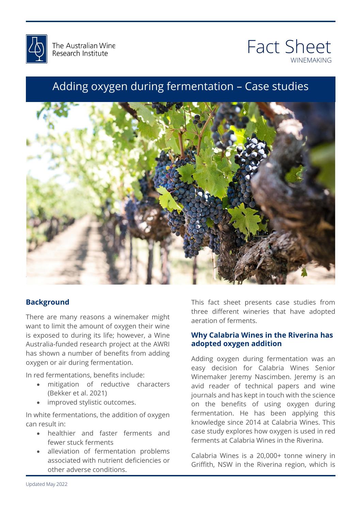



## Adding oxygen during fermentation – Case studies



### **Background**

There are many reasons a winemaker might want to limit the amount of oxygen their wine is exposed to during its life; however, a Wine Australia-funded research project at the AWRI has shown a number of benefits from adding oxygen or air during fermentation.

In red fermentations, benefits include:

- mitigation of reductive characters (Bekker et al. 2021)
- improved stylistic outcomes.

In white fermentations, the addition of oxygen can result in:

- healthier and faster ferments and fewer stuck ferments
- alleviation of fermentation problems associated with nutrient deficiencies or other adverse conditions.

This fact sheet presents case studies from of ferments.<br>shuis Mines in the Divering has three different wineries that have adopted aeration of ferments.

# **adopted oxygen addition**<br>Adding oxygen during fermentation was an **Why Calabria Wines in the Riverina has**

easy decision for Calabria Wines Senior<br>Winemaker-Jeremy-Nascimben Jeremy is an journals and has kept in touch with the science<br>on the benefits of using oxygen during Adding oxygen during fermentation was an easy decision for Calabria Wines Senior avid reader of technical papers and wine journals and has kept in touch with the science fermentation. He has been applying this knowledge since 2014 at Calabria Wines. This case study explores how oxygen is used in red ferments at Calabria Wines in the Riverina.

Calabria Wines is a 20,000+ tonne winery in Griffith, NSW in the Riverina region, which is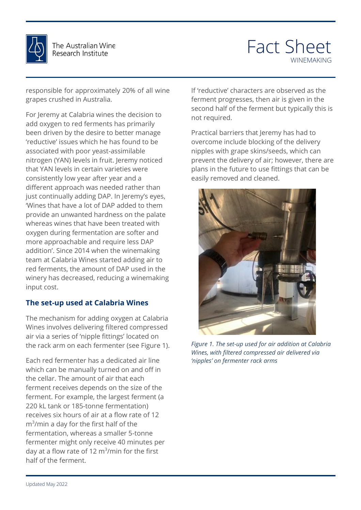

# Fact Sheet WINEMAKING

responsible for approximately 20% of all wine grapes crushed in Australia.

For Jeremy at Calabria wines the decision to add oxygen to red ferments has primarily been driven by the desire to better manage 'reductive' issues which he has found to be associated with poor yeast-assimilable nitrogen (YAN) levels in fruit. Jeremy noticed that YAN levels in certain varieties were consistently low year after year and a different approach was needed rather than just continually adding DAP. In Jeremy's eyes, 'Wines that have a lot of DAP added to them provide an unwanted hardness on the palate whereas wines that have been treated with oxygen during fermentation are softer and more approachable and require less DAP addition'. Since 2014 when the winemaking team at Calabria Wines started adding air to red ferments, the amount of DAP used in the winery has decreased, reducing a winemaking input cost.

### **The set-up used at Calabria Wines**

The mechanism for adding oxygen at Calabria Wines involves delivering filtered compressed air via a series of 'nipple fittings' located on the rack arm on each fermenter (see Figure 1).

Each red fermenter has a dedicated air line which can be manually turned on and off in the cellar. The amount of air that each ferment receives depends on the size of the ferment. For example, the largest ferment (a 220 kL tank or 185-tonne fermentation) receives six hours of air at a flow rate of 12 m<sup>3</sup>/min a day for the first half of the fermentation, whereas a smaller 5-tonne fermenter might only receive 40 minutes per day at a flow rate of 12  $\text{m}^3\text{/min}$  for the first half of the ferment.

If 'reductive' characters are observed as the ferment progresses, then air is given in the second half of the ferment but typically this is not required.

Practical barriers that Jeremy has had to overcome include blocking of the delivery nipples with grape skins/seeds, which can prevent the delivery of air; however, there are plans in the future to use fittings that can be easily removed and cleaned.



Figure 1. The set-up used for air addition at Calabria<br>Wines, with filtered compressed air delivered via *Wines, with filtered compressed air delivered via 'nipples' on fermenter rack arms*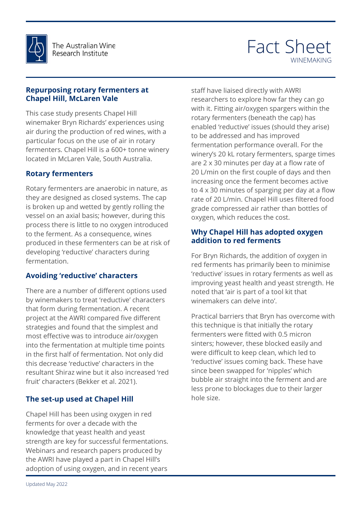

## Fact Sheet WINEMAKING

#### **Repurposing rotary fermenters at Chapel Hill, McLaren Vale**

This case study presents Chapel Hill winemaker Bryn Richards' experiences using air during the production of red wines, with a particular focus on the use of air in rotary fermenters. Chapel Hill is a 600+ tonne winery located in McLaren Vale, South Australia.

### **Rotary fermenters**

Rotary fermenters are anaerobic in nature, as they are designed as closed systems. The cap is broken up and wetted by gently rolling the vessel on an axial basis; however, during this process there is little to no oxygen introduced to the ferment. As a consequence, wines produced in these fermenters can be at risk of developing 'reductive' characters during fermentation.

### **Avoiding 'reductive' characters**

There are a number of different options used by winemakers to treat 'reductive' characters that form during fermentation. A recent project at the AWRI compared five different strategies and found that the simplest and most effective was to introduce air/oxygen into the fermentation at multiple time points in the first half of fermentation. Not only did this decrease 'reductive' characters in the resultant Shiraz wine but it also increased 'red fruit' characters (Bekker et al. 2021).

### **The set-up used at Chapel Hill**

Chapel Hill has been using oxygen in red ferments for over a decade with the knowledge that yeast health and yeast strength are key for successful fermentations. Webinars and research papers produced by the AWRI have played a part in Chapel Hill's adoption of using oxygen, and in recent years

rate of 20 L/min. Chapel Hill uses filtered food<br>grade compressed air rather than bottles of staff have liaised directly with AWRI researchers to explore how far they can go with it. Fitting air/oxygen spargers within the rotary fermenters (beneath the cap) has enabled 'reductive' issues (should they arise) to be addressed and has improved fermentation performance overall. For the winery's 20 kL rotary fermenters, sparge times are 2 x 30 minutes per day at a flow rate of 20 L/min on the first couple of days and then increasing once the ferment becomes active to 4 x 30 minutes of sparging per day at a flow grade compressed air rather than bottles of oxygen, which reduces the cost.

# oxygen, which reduces the cost.<br>**Why Chapel Hill has adopted oxygen addition to red ferments**

addreion to fied forments<br>For Bryn Richards, the addition of oxygen in there interest primaling seen to minimize<br>'reductive' issues in rotary ferments as well as<br>improving veast health and veast strength. He noted that 'air is part of a tool kit that<br>winemakers can delve into'. red ferments has primarily been to minimise improving yeast health and yeast strength. He noted that 'air is part of a tool kit that

barriers that Bryn has overcome with<br>hique is that initially the rotary<br>rs were fitted with 0.5 misron sinters; however, these blocked easily and<br>were difficult to keep clean, which led to since been swapped for 'nipples' which<br>bubble air straight into the ferment and are ges due to them larger Practical barriers that Bryn has overcome with this technique is that initially the rotary fermenters were fitted with 0.5 micron sinters; however, these blocked easily and 'reductive' issues coming back. These have since been swapped for 'nipples' which less prone to blockages due to their larger hole size.